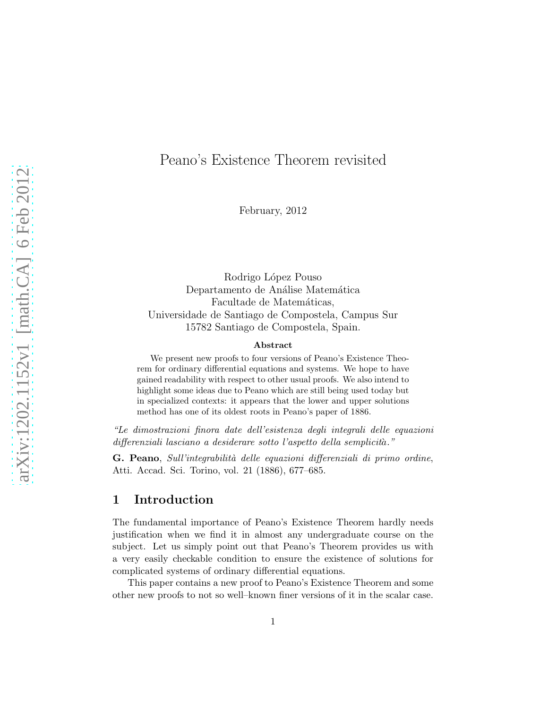# Peano's Existence Theorem revisited

February, 2012

Rodrigo López Pouso Departamento de Análise Matemática Facultade de Matemáticas, Universidade de Santiago de Compostela, Campus Sur 15782 Santiago de Compostela, Spain.

#### Abstract

We present new proofs to four versions of Peano's Existence Theorem for ordinary differential equations and systems. We hope to have gained readability with respect to other usual proofs. We also intend to highlight some ideas due to Peano which are still being used today but in specialized contexts: it appears that the lower and upper solutions method has one of its oldest roots in Peano's paper of 1886.

"Le dimostrazioni finora date dell'esistenza degli integrali delle equazioni differenziali lasciano a desiderare sotto l'aspetto della semplicità."

G. Peano, Sull'integrabilità delle equazioni differenziali di primo ordine, Atti. Accad. Sci. Torino, vol. 21 (1886), 677–685.

### 1 Introduction

The fundamental importance of Peano's Existence Theorem hardly needs justification when we find it in almost any undergraduate course on the subject. Let us simply point out that Peano's Theorem provides us with a very easily checkable condition to ensure the existence of solutions for complicated systems of ordinary differential equations.

This paper contains a new proof to Peano's Existence Theorem and some other new proofs to not so well–known finer versions of it in the scalar case.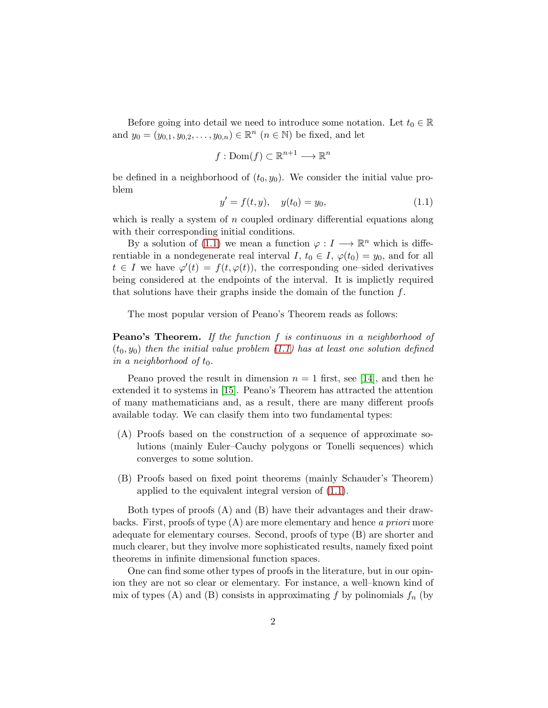Before going into detail we need to introduce some notation. Let  $t_0 \in \mathbb{R}$ and  $y_0 = (y_{0,1}, y_{0,2}, \dots, y_{0,n}) \in \mathbb{R}^n$   $(n \in \mathbb{N})$  be fixed, and let

$$
f: \mathrm{Dom}(f) \subset \mathbb{R}^{n+1} \longrightarrow \mathbb{R}^n
$$

<span id="page-1-0"></span>be defined in a neighborhood of  $(t_0, y_0)$ . We consider the initial value problem

$$
y' = f(t, y), \quad y(t_0) = y_0,\tag{1.1}
$$

which is really a system of  $n$  coupled ordinary differential equations along with their corresponding initial conditions.

By a solution of [\(1.1\)](#page-1-0) we mean a function  $\varphi: I \longrightarrow \mathbb{R}^n$  which is differentiable in a nondegenerate real interval I,  $t_0 \in I$ ,  $\varphi(t_0) = y_0$ , and for all  $t \in I$  we have  $\varphi'(t) = f(t, \varphi(t))$ , the corresponding one-sided derivatives being considered at the endpoints of the interval. It is implictly required that solutions have their graphs inside the domain of the function  $f$ .

The most popular version of Peano's Theorem reads as follows:

Peano's Theorem. If the function f is continuous in a neighborhood of  $(t_0, y_0)$  then the initial value problem [\(1.1\)](#page-1-0) has at least one solution defined in a neighborhood of  $t_0$ .

Peano proved the result in dimension  $n = 1$  first, see [\[14\]](#page-18-0), and then he extended it to systems in [\[15\]](#page-18-1). Peano's Theorem has attracted the attention of many mathematicians and, as a result, there are many different proofs available today. We can clasify them into two fundamental types:

- (A) Proofs based on the construction of a sequence of approximate solutions (mainly Euler–Cauchy polygons or Tonelli sequences) which converges to some solution.
- (B) Proofs based on fixed point theorems (mainly Schauder's Theorem) applied to the equivalent integral version of [\(1.1\)](#page-1-0).

Both types of proofs (A) and (B) have their advantages and their drawbacks. First, proofs of type  $(A)$  are more elementary and hence a priori more adequate for elementary courses. Second, proofs of type (B) are shorter and much clearer, but they involve more sophisticated results, namely fixed point theorems in infinite dimensional function spaces.

One can find some other types of proofs in the literature, but in our opinion they are not so clear or elementary. For instance, a well–known kind of mix of types (A) and (B) consists in approximating f by polinomials  $f_n$  (by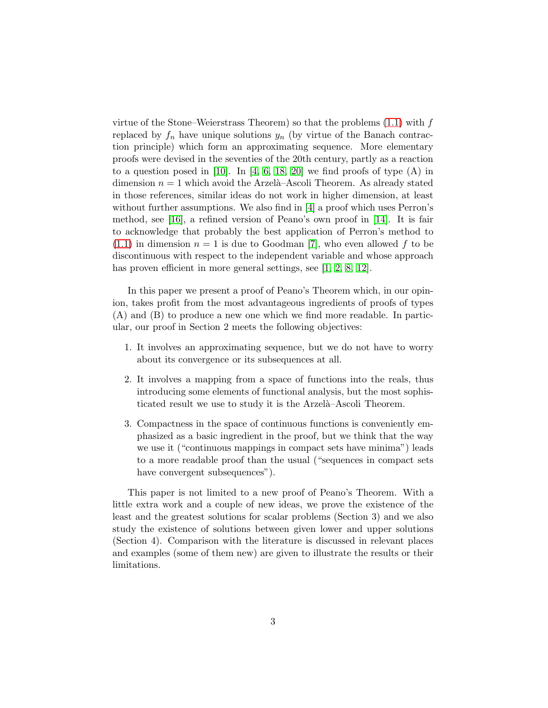virtue of the Stone–Weierstrass Theorem) so that the problems  $(1.1)$  with f replaced by  $f_n$  have unique solutions  $y_n$  (by virtue of the Banach contraction principle) which form an approximating sequence. More elementary proofs were devised in the seventies of the 20th century, partly as a reaction to a question posed in  $[10]$ . In  $[4, 6, 18, 20]$  $[4, 6, 18, 20]$  $[4, 6, 18, 20]$  $[4, 6, 18, 20]$  we find proofs of type  $(A)$  in dimension  $n = 1$  which avoid the Arzelà–Ascoli Theorem. As already stated in those references, similar ideas do not work in higher dimension, at least without further assumptions. We also find in [\[4\]](#page-17-1) a proof which uses Perron's method, see [\[16\]](#page-18-4), a refined version of Peano's own proof in [\[14\]](#page-18-0). It is fair to acknowledge that probably the best application of Perron's method to  $(1.1)$  in dimension  $n = 1$  is due to Goodman [\[7\]](#page-17-3), who even allowed f to be discontinuous with respect to the independent variable and whose approach has proven efficient in more general settings, see [\[1,](#page-17-4) [2,](#page-17-5) [8,](#page-17-6) [12\]](#page-18-5).

In this paper we present a proof of Peano's Theorem which, in our opinion, takes profit from the most advantageous ingredients of proofs of types (A) and (B) to produce a new one which we find more readable. In particular, our proof in Section 2 meets the following objectives:

- 1. It involves an approximating sequence, but we do not have to worry about its convergence or its subsequences at all.
- 2. It involves a mapping from a space of functions into the reals, thus introducing some elements of functional analysis, but the most sophisticated result we use to study it is the Arzelà–Ascoli Theorem.
- 3. Compactness in the space of continuous functions is conveniently emphasized as a basic ingredient in the proof, but we think that the way we use it ("continuous mappings in compact sets have minima") leads to a more readable proof than the usual ("sequences in compact sets have convergent subsequences").

This paper is not limited to a new proof of Peano's Theorem. With a little extra work and a couple of new ideas, we prove the existence of the least and the greatest solutions for scalar problems (Section 3) and we also study the existence of solutions between given lower and upper solutions (Section 4). Comparison with the literature is discussed in relevant places and examples (some of them new) are given to illustrate the results or their limitations.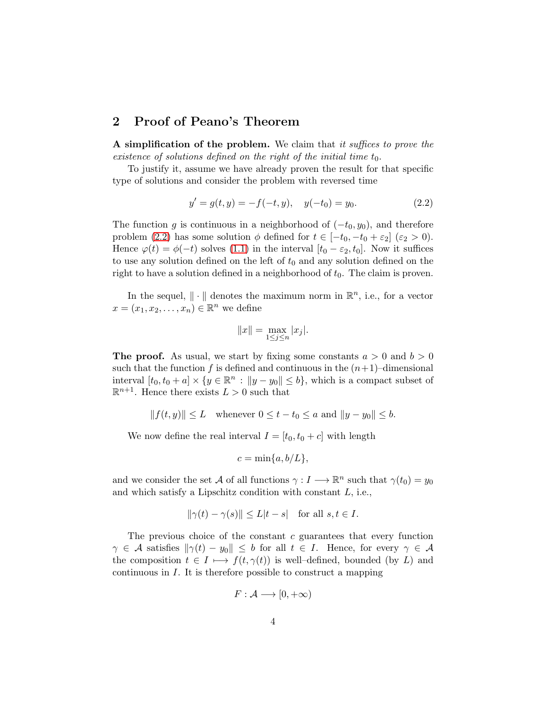#### 2 Proof of Peano's Theorem

A simplification of the problem. We claim that it suffices to prove the existence of solutions defined on the right of the initial time  $t_0$ .

To justify it, assume we have already proven the result for that specific type of solutions and consider the problem with reversed time

<span id="page-3-0"></span>
$$
y' = g(t, y) = -f(-t, y), \quad y(-t_0) = y_0.
$$
\n(2.2)

The function g is continuous in a neighborhood of  $(-t_0, y_0)$ , and therefore problem [\(2.2\)](#page-3-0) has some solution  $\phi$  defined for  $t \in [-t_0, -t_0 + \varepsilon_2]$  ( $\varepsilon_2 > 0$ ). Hence  $\varphi(t) = \phi(-t)$  solves [\(1.1\)](#page-1-0) in the interval  $[t_0 - \varepsilon_2, t_0]$ . Now it suffices to use any solution defined on the left of  $t_0$  and any solution defined on the right to have a solution defined in a neighborhood of  $t_0$ . The claim is proven.

In the sequel,  $\|\cdot\|$  denotes the maximum norm in  $\mathbb{R}^n$ , i.e., for a vector  $x = (x_1, x_2, \dots, x_n) \in \mathbb{R}^n$  we define

$$
||x|| = \max_{1 \le j \le n} |x_j|.
$$

**The proof.** As usual, we start by fixing some constants  $a > 0$  and  $b > 0$ such that the function f is defined and continuous in the  $(n+1)$ –dimensional interval  $[t_0, t_0 + a] \times \{y \in \mathbb{R}^n : ||y - y_0|| \le b\}$ , which is a compact subset of  $\mathbb{R}^{n+1}$ . Hence there exists  $L > 0$  such that

$$
||f(t,y)|| \le L \quad \text{whenever } 0 \le t - t_0 \le a \text{ and } ||y - y_0|| \le b.
$$

We now define the real interval  $I = [t_0, t_0 + c]$  with length

$$
c = \min\{a, b/L\},\
$$

and we consider the set A of all functions  $\gamma: I \longrightarrow \mathbb{R}^n$  such that  $\gamma(t_0) = y_0$ and which satisfy a Lipschitz condition with constant  $L$ , i.e.,

$$
\|\gamma(t) - \gamma(s)\| \le L|t - s| \quad \text{for all } s, t \in I.
$$

The previous choice of the constant  $c$  guarantees that every function  $\gamma \in \mathcal{A}$  satisfies  $\|\gamma(t) - y_0\| \leq b$  for all  $t \in I$ . Hence, for every  $\gamma \in \mathcal{A}$ the composition  $t \in I \mapsto f(t, \gamma(t))$  is well–defined, bounded (by L) and continuous in I. It is therefore possible to construct a mapping

$$
F:\mathcal{A}\longrightarrow [0,+\infty)
$$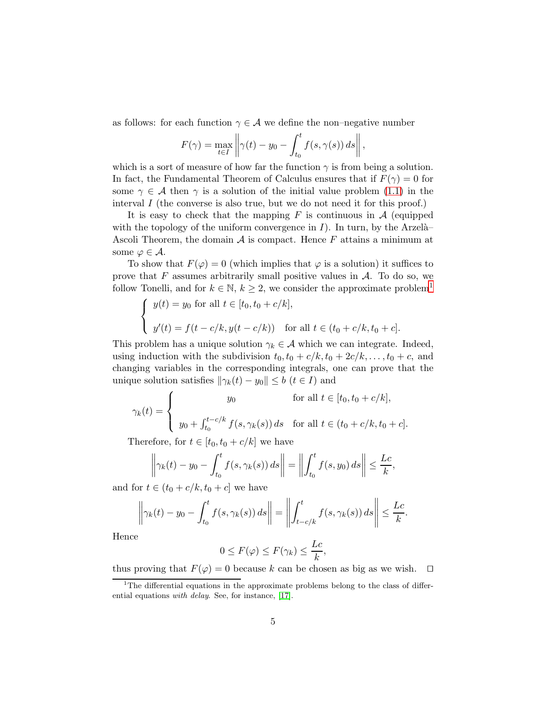as follows: for each function  $\gamma \in \mathcal{A}$  we define the non–negative number

$$
F(\gamma) = \max_{t \in I} \left\| \gamma(t) - y_0 - \int_{t_0}^t f(s, \gamma(s)) \, ds \right\|,
$$

which is a sort of measure of how far the function  $\gamma$  is from being a solution. In fact, the Fundamental Theorem of Calculus ensures that if  $F(\gamma) = 0$  for some  $\gamma \in \mathcal{A}$  then  $\gamma$  is a solution of the initial value problem [\(1.1\)](#page-1-0) in the interval  $I$  (the converse is also true, but we do not need it for this proof.)

It is easy to check that the mapping  $F$  is continuous in  $A$  (equipped with the topology of the uniform convergence in  $I$ ). In turn, by the Arzelà– Ascoli Theorem, the domain  $A$  is compact. Hence  $F$  attains a minimum at some  $\varphi \in \mathcal{A}$ .

To show that  $F(\varphi) = 0$  (which implies that  $\varphi$  is a solution) it suffices to prove that  $F$  assumes arbitrarily small positive values in  $A$ . To do so, we follow Tonelli, and for  $k \in \mathbb{N}$ ,  $k \geq 2$ , we consider the approximate problem<sup>[1](#page-4-0)</sup>

$$
\begin{cases}\n y(t) = y_0 \text{ for all } t \in [t_0, t_0 + c/k], \\
 y'(t) = f(t - c/k, y(t - c/k)) \quad \text{for all } t \in (t_0 + c/k, t_0 + c].\n\end{cases}
$$

This problem has a unique solution  $\gamma_k \in \mathcal{A}$  which we can integrate. Indeed, using induction with the subdivision  $t_0$ ,  $t_0 + c/k$ ,  $t_0 + 2c/k$ , ...,  $t_0 + c$ , and changing variables in the corresponding integrals, one can prove that the unique solution satisfies  $\|\gamma_k(t) - y_0\| \leq b$   $(t \in I)$  and

$$
\gamma_k(t) = \begin{cases} y_0 & \text{for all } t \in [t_0, t_0 + c/k], \\ y_0 + \int_{t_0}^{t - c/k} f(s, \gamma_k(s)) ds & \text{for all } t \in (t_0 + c/k, t_0 + c]. \end{cases}
$$

Therefore, for  $t \in [t_0, t_0 + c/k]$  we have

$$
\left\|\gamma_k(t) - y_0 - \int_{t_0}^t f(s, \gamma_k(s)) ds\right\| = \left\|\int_{t_0}^t f(s, y_0) ds\right\| \leq \frac{Lc}{k},
$$

and for  $t \in (t_0 + c/k, t_0 + c]$  we have

$$
\left\|\gamma_k(t)-y_0-\int_{t_0}^t f(s,\gamma_k(s))\,ds\right\|=\left\|\int_{t-c/k}^t f(s,\gamma_k(s))\,ds\right\|\leq \frac{Lc}{k}.
$$

Hence

$$
0 \leq F(\varphi) \leq F(\gamma_k) \leq \frac{Lc}{k},
$$

thus proving that  $F(\varphi) = 0$  because k can be chosen as big as we wish.  $\Box$ 

<span id="page-4-0"></span><sup>&</sup>lt;sup>1</sup>The differential equations in the approximate problems belong to the class of differential equations with delay. See, for instance, [\[17\]](#page-18-6).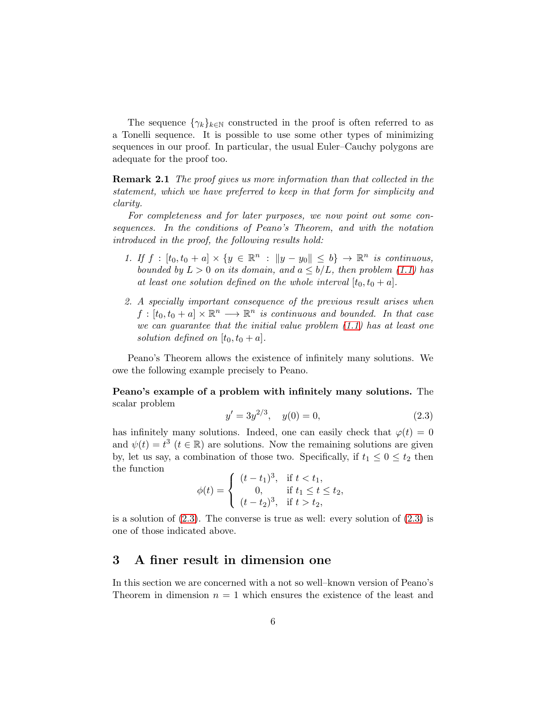The sequence  $\{\gamma_k\}_{k\in\mathbb{N}}$  constructed in the proof is often referred to as a Tonelli sequence. It is possible to use some other types of minimizing sequences in our proof. In particular, the usual Euler–Cauchy polygons are adequate for the proof too.

<span id="page-5-1"></span>Remark 2.1 The proof gives us more information than that collected in the statement, which we have preferred to keep in that form for simplicity and clarity.

For completeness and for later purposes, we now point out some consequences. In the conditions of Peano's Theorem, and with the notation introduced in the proof, the following results hold:

- 1. If  $f : [t_0, t_0 + a] \times \{y \in \mathbb{R}^n : ||y y_0|| \le b\} \rightarrow \mathbb{R}^n$  is continuous, bounded by  $L > 0$  on its domain, and  $a \leq b/L$ , then problem [\(1.1\)](#page-1-0) has at least one solution defined on the whole interval  $[t_0, t_0 + a]$ .
- 2. A specially important consequence of the previous result arises when  $f: [t_0, t_0 + a] \times \mathbb{R}^n \longrightarrow \mathbb{R}^n$  is continuous and bounded. In that case we can guarantee that the initial value problem  $(1.1)$  has at least one solution defined on  $[t_0, t_0 + a]$ .

Peano's Theorem allows the existence of infinitely many solutions. We owe the following example precisely to Peano.

Peano's example of a problem with infinitely many solutions. The scalar problem

<span id="page-5-0"></span>
$$
y' = 3y^{2/3}, \quad y(0) = 0,\tag{2.3}
$$

has infinitely many solutions. Indeed, one can easily check that  $\varphi(t) = 0$ and  $\psi(t) = t^3$   $(t \in \mathbb{R})$  are solutions. Now the remaining solutions are given by, let us say, a combination of those two. Specifically, if  $t_1 \leq 0 \leq t_2$  then the function

$$
\phi(t) = \begin{cases}\n(t - t_1)^3, & \text{if } t < t_1, \\
0, & \text{if } t_1 \le t \le t_2, \\
(t - t_2)^3, & \text{if } t > t_2,\n\end{cases}
$$

is a solution of  $(2.3)$ . The converse is true as well: every solution of  $(2.3)$  is one of those indicated above.

#### 3 A finer result in dimension one

In this section we are concerned with a not so well–known version of Peano's Theorem in dimension  $n = 1$  which ensures the existence of the least and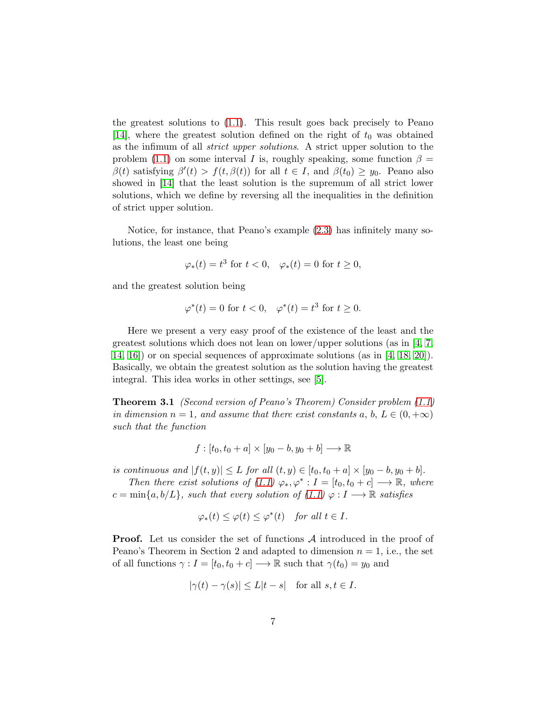the greatest solutions to [\(1.1\)](#page-1-0). This result goes back precisely to Peano [\[14\]](#page-18-0), where the greatest solution defined on the right of  $t_0$  was obtained as the infimum of all strict upper solutions. A strict upper solution to the problem [\(1.1\)](#page-1-0) on some interval I is, roughly speaking, some function  $\beta =$  $\beta(t)$  satisfying  $\beta'(t) > f(t, \beta(t))$  for all  $t \in I$ , and  $\beta(t_0) \geq y_0$ . Peano also showed in [\[14\]](#page-18-0) that the least solution is the supremum of all strict lower solutions, which we define by reversing all the inequalities in the definition of strict upper solution.

Notice, for instance, that Peano's example [\(2.3\)](#page-5-0) has infinitely many solutions, the least one being

$$
\varphi_*(t) = t^3 \text{ for } t < 0, \quad \varphi_*(t) = 0 \text{ for } t \ge 0,
$$

and the greatest solution being

$$
\varphi^*(t) = 0 \text{ for } t < 0, \quad \varphi^*(t) = t^3 \text{ for } t \ge 0.
$$

Here we present a very easy proof of the existence of the least and the greatest solutions which does not lean on lower/upper solutions (as in [\[4,](#page-17-1) [7,](#page-17-3) [14,](#page-18-0) [16\]](#page-18-4)) or on special sequences of approximate solutions (as in [\[4,](#page-17-1) [18,](#page-18-2) [20\]](#page-18-3)). Basically, we obtain the greatest solution as the solution having the greatest integral. This idea works in other settings, see [\[5\]](#page-17-7).

<span id="page-6-0"></span>Theorem 3.1 (Second version of Peano's Theorem) Consider problem [\(1.1\)](#page-1-0) in dimension  $n = 1$ , and assume that there exist constants a, b,  $L \in (0, +\infty)$ such that the function

$$
f : [t_0, t_0 + a] \times [y_0 - b, y_0 + b] \longrightarrow \mathbb{R}
$$

is continuous and  $|f(t, y)| \leq L$  for all  $(t, y) \in [t_0, t_0 + a] \times [y_0 - b, y_0 + b]$ .

Then there exist solutions of  $(1.1) \varphi_*, \varphi^*: I = [t_0, t_0 + c] \longrightarrow \mathbb{R}$ , where  $c = \min\{a, b/L\}$ , such that every solution of  $(1.1) \varphi : I \longrightarrow \mathbb{R}$  satisfies

$$
\varphi_*(t) \le \varphi(t) \le \varphi^*(t) \quad \text{for all } t \in I.
$$

**Proof.** Let us consider the set of functions A introduced in the proof of Peano's Theorem in Section 2 and adapted to dimension  $n = 1$ , i.e., the set of all functions  $\gamma : I = [t_0, t_0 + c] \longrightarrow \mathbb{R}$  such that  $\gamma(t_0) = y_0$  and

$$
|\gamma(t) - \gamma(s)| \le L|t - s| \quad \text{for all } s, t \in I.
$$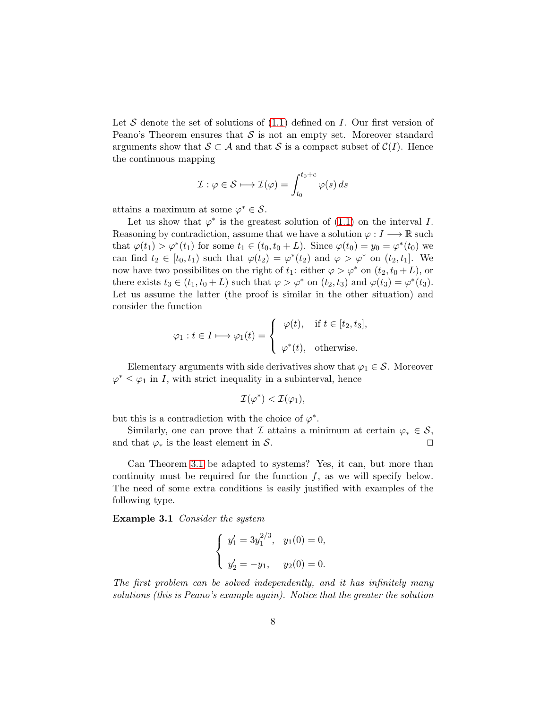Let S denote the set of solutions of  $(1.1)$  defined on I. Our first version of Peano's Theorem ensures that  $S$  is not an empty set. Moreover standard arguments show that  $S \subset A$  and that S is a compact subset of  $C(I)$ . Hence the continuous mapping

$$
\mathcal{I} : \varphi \in \mathcal{S} \longmapsto \mathcal{I}(\varphi) = \int_{t_0}^{t_0 + c} \varphi(s) \, ds
$$

attains a maximum at some  $\varphi^* \in \mathcal{S}$ .

Let us show that  $\varphi^*$  is the greatest solution of [\(1.1\)](#page-1-0) on the interval I. Reasoning by contradiction, assume that we have a solution  $\varphi: I \longrightarrow \mathbb{R}$  such that  $\varphi(t_1) > \varphi^*(t_1)$  for some  $t_1 \in (t_0, t_0 + L)$ . Since  $\varphi(t_0) = y_0 = \varphi^*(t_0)$  we can find  $t_2 \in [t_0, t_1)$  such that  $\varphi(t_2) = \varphi^*(t_2)$  and  $\varphi > \varphi^*$  on  $(t_2, t_1]$ . We now have two possibilites on the right of  $t_1$ : either  $\varphi > \varphi^*$  on  $(t_2, t_0 + L)$ , or there exists  $t_3 \in (t_1, t_0 + L)$  such that  $\varphi > \varphi^*$  on  $(t_2, t_3)$  and  $\varphi(t_3) = \varphi^*(t_3)$ . Let us assume the latter (the proof is similar in the other situation) and consider the function

$$
\varphi_1: t \in I \longmapsto \varphi_1(t) = \begin{cases} \varphi(t), & \text{if } t \in [t_2, t_3], \\ \varphi^*(t), & \text{otherwise.} \end{cases}
$$

Elementary arguments with side derivatives show that  $\varphi_1 \in \mathcal{S}$ . Moreover  $\varphi^* \leq \varphi_1$  in I, with strict inequality in a subinterval, hence

$$
\mathcal{I}(\varphi^*) < \mathcal{I}(\varphi_1),
$$

but this is a contradiction with the choice of  $\varphi^*$ .

Similarly, one can prove that I attains a minimum at certain  $\varphi_* \in \mathcal{S}$ , and that  $\varphi_*$  is the least element in S. □

Can Theorem [3.1](#page-6-0) be adapted to systems? Yes, it can, but more than continuity must be required for the function  $f$ , as we will specify below. The need of some extra conditions is easily justified with examples of the following type.

Example 3.1 Consider the system

<span id="page-7-0"></span>
$$
\begin{cases} y_1' = 3y_1^{2/3}, & y_1(0) = 0, \\ y_2' = -y_1, & y_2(0) = 0. \end{cases}
$$

The first problem can be solved independently, and it has infinitely many solutions (this is Peano's example again). Notice that the greater the solution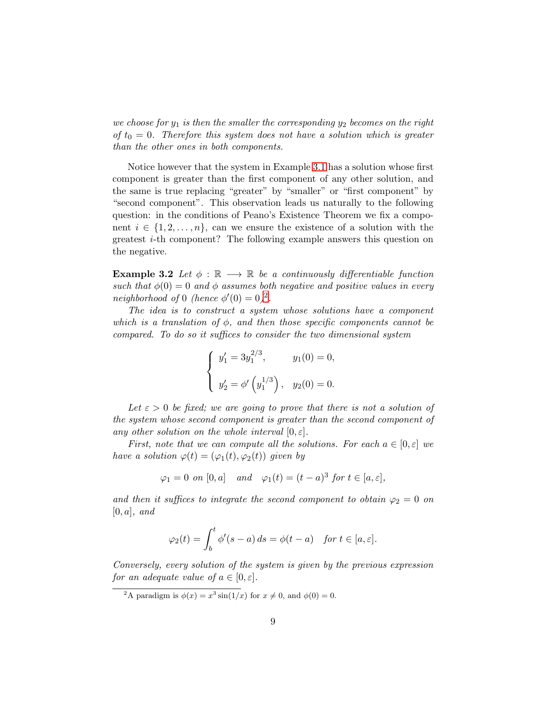we choose for  $y_1$  is then the smaller the corresponding  $y_2$  becomes on the right of  $t_0 = 0$ . Therefore this system does not have a solution which is greater than the other ones in both components.

Notice however that the system in Example [3.1](#page-7-0) has a solution whose first component is greater than the first component of any other solution, and the same is true replacing "greater" by "smaller" or "first component" by "second component". This observation leads us naturally to the following question: in the conditions of Peano's Existence Theorem we fix a component  $i \in \{1, 2, ..., n\}$ , can we ensure the existence of a solution with the greatest i-th component? The following example answers this question on the negative.

**Example 3.2** Let  $\phi : \mathbb{R} \longrightarrow \mathbb{R}$  be a continuously differentiable function such that  $\phi(0) = 0$  and  $\phi$  assumes both negative and positive values in every neighborhood of 0 (hence  $\phi'(0) = 0$ )<sup>[2](#page-8-0)</sup>.

The idea is to construct a system whose solutions have a component which is a translation of  $\phi$ , and then those specific components cannot be compared. To do so it suffices to consider the two dimensional system

$$
\begin{cases}\ny'_1 = 3y_1^{2/3}, & y_1(0) = 0, \\
y'_2 = \phi'\left(y_1^{1/3}\right), & y_2(0) = 0.\n\end{cases}
$$

Let  $\varepsilon > 0$  be fixed; we are going to prove that there is not a solution of the system whose second component is greater than the second component of any other solution on the whole interval  $[0, \varepsilon]$ .

First, note that we can compute all the solutions. For each  $a \in [0, \varepsilon]$  we have a solution  $\varphi(t) = (\varphi_1(t), \varphi_2(t))$  given by

$$
\varphi_1 = 0
$$
 on [0, a] and  $\varphi_1(t) = (t - a)^3$  for  $t \in [a, \varepsilon]$ ,

and then it suffices to integrate the second component to obtain  $\varphi_2 = 0$  on  $[0, a]$ , and

$$
\varphi_2(t) = \int_b^t \phi'(s-a) \, ds = \phi(t-a) \quad \text{for } t \in [a, \varepsilon].
$$

Conversely, every solution of the system is given by the previous expression for an adequate value of  $a \in [0, \varepsilon]$ .

<span id="page-8-0"></span><sup>&</sup>lt;sup>2</sup>A paradigm is  $\phi(x) = x^3 \sin(1/x)$  for  $x \neq 0$ , and  $\phi(0) = 0$ .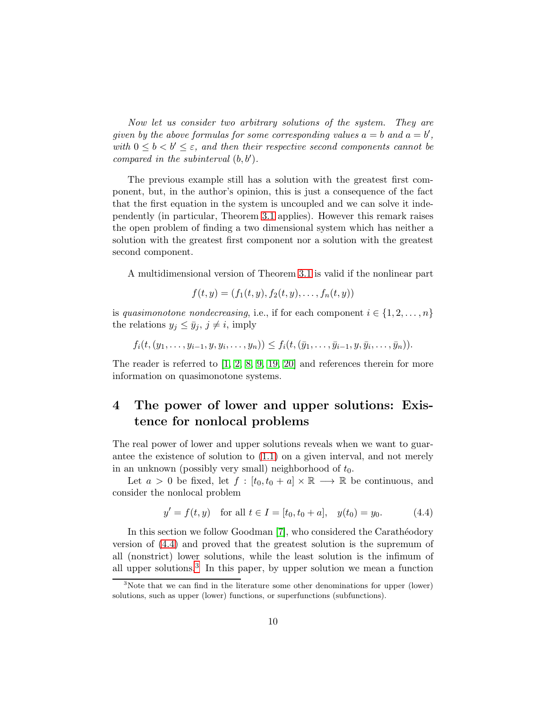Now let us consider two arbitrary solutions of the system. They are given by the above formulas for some corresponding values  $a = b$  and  $a = b'$ , with  $0 \leq b \leq b' \leq \varepsilon$ , and then their respective second components cannot be compared in the subinterval  $(b, b')$ .

The previous example still has a solution with the greatest first component, but, in the author's opinion, this is just a consequence of the fact that the first equation in the system is uncoupled and we can solve it independently (in particular, Theorem [3.1](#page-6-0) applies). However this remark raises the open problem of finding a two dimensional system which has neither a solution with the greatest first component nor a solution with the greatest second component.

A multidimensional version of Theorem [3.1](#page-6-0) is valid if the nonlinear part

$$
f(t, y) = (f_1(t, y), f_2(t, y), \dots, f_n(t, y))
$$

is quasimonotone nondecreasing, i.e., if for each component  $i \in \{1, 2, \ldots, n\}$ the relations  $y_j \leq \bar{y}_j$ ,  $j \neq i$ , imply

$$
f_i(t, (y_1, \ldots, y_{i-1}, y, y_i, \ldots, y_n)) \le f_i(t, (\bar{y}_1, \ldots, \bar{y}_{i-1}, y, \bar{y}_i, \ldots, \bar{y}_n)).
$$

The reader is referred to [\[1,](#page-17-4) [2,](#page-17-5) [8,](#page-17-6) [9,](#page-17-8) [19,](#page-18-7) [20\]](#page-18-3) and references therein for more information on quasimonotone systems.

## 4 The power of lower and upper solutions: Existence for nonlocal problems

The real power of lower and upper solutions reveals when we want to guarantee the existence of solution to [\(1.1\)](#page-1-0) on a given interval, and not merely in an unknown (possibly very small) neighborhood of  $t_0$ .

Let  $a > 0$  be fixed, let  $f : [t_0, t_0 + a] \times \mathbb{R} \longrightarrow \mathbb{R}$  be continuous, and consider the nonlocal problem

<span id="page-9-0"></span>
$$
y' = f(t, y)
$$
 for all  $t \in I = [t_0, t_0 + a]$ ,  $y(t_0) = y_0$ . (4.4)

In this section we follow Goodman [\[7\]](#page-17-3), who considered the Carathéodory version of [\(4.4\)](#page-9-0) and proved that the greatest solution is the supremum of all (nonstrict) lower solutions, while the least solution is the infimum of all upper solutions.<sup>[3](#page-9-1)</sup> In this paper, by upper solution we mean a function

<span id="page-9-1"></span><sup>&</sup>lt;sup>3</sup>Note that we can find in the literature some other denominations for upper (lower) solutions, such as upper (lower) functions, or superfunctions (subfunctions).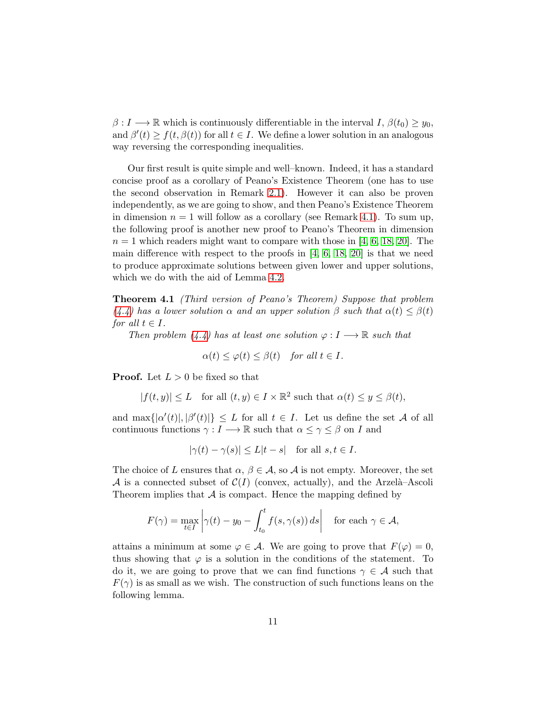$\beta: I \longrightarrow \mathbb{R}$  which is continuously differentiable in the interval  $I, \beta(t_0) \geq y_0$ , and  $\beta'(t) \ge f(t, \beta(t))$  for all  $t \in I$ . We define a lower solution in an analogous way reversing the corresponding inequalities.

Our first result is quite simple and well–known. Indeed, it has a standard concise proof as a corollary of Peano's Existence Theorem (one has to use the second observation in Remark [2.1\)](#page-5-1). However it can also be proven independently, as we are going to show, and then Peano's Existence Theorem in dimension  $n = 1$  will follow as a corollary (see Remark [4.1\)](#page-12-0). To sum up, the following proof is another new proof to Peano's Theorem in dimension  $n = 1$  which readers might want to compare with those in [\[4,](#page-17-1) [6,](#page-17-2) [18,](#page-18-2) [20\]](#page-18-3). The main difference with respect to the proofs in [\[4,](#page-17-1) [6,](#page-17-2) [18,](#page-18-2) [20\]](#page-18-3) is that we need to produce approximate solutions between given lower and upper solutions, which we do with the aid of Lemma [4.2.](#page-10-0)

<span id="page-10-1"></span>Theorem 4.1 (Third version of Peano's Theorem) Suppose that problem [\(4.4\)](#page-9-0) has a lower solution  $\alpha$  and an upper solution  $\beta$  such that  $\alpha(t) \leq \beta(t)$ for all  $t \in I$ .

Then problem  $(4.4)$  has at least one solution  $\varphi: I \longrightarrow \mathbb{R}$  such that

$$
\alpha(t) \le \varphi(t) \le \beta(t) \quad \text{for all } t \in I.
$$

**Proof.** Let  $L > 0$  be fixed so that

$$
|f(t,y)| \le L \quad \text{for all } (t,y) \in I \times \mathbb{R}^2 \text{ such that } \alpha(t) \le y \le \beta(t),
$$

and  $\max\{|a'(t)|, |\beta'(t)|\} \leq L$  for all  $t \in I$ . Let us define the set A of all continuous functions  $\gamma : I \longrightarrow \mathbb{R}$  such that  $\alpha \leq \gamma \leq \beta$  on I and

$$
|\gamma(t) - \gamma(s)| \le L|t - s|
$$
 for all  $s, t \in I$ .

The choice of L ensures that  $\alpha, \beta \in \mathcal{A}$ , so  $\mathcal{A}$  is not empty. Moreover, the set A is a connected subset of  $C(I)$  (convex, actually), and the Arzelà–Ascoli Theorem implies that  $A$  is compact. Hence the mapping defined by

$$
F(\gamma) = \max_{t \in I} \left| \gamma(t) - y_0 - \int_{t_0}^t f(s, \gamma(s)) \, ds \right| \quad \text{for each } \gamma \in \mathcal{A},
$$

<span id="page-10-0"></span>attains a minimum at some  $\varphi \in \mathcal{A}$ . We are going to prove that  $F(\varphi) = 0$ , thus showing that  $\varphi$  is a solution in the conditions of the statement. To do it, we are going to prove that we can find functions  $\gamma \in \mathcal{A}$  such that  $F(\gamma)$  is as small as we wish. The construction of such functions leans on the following lemma.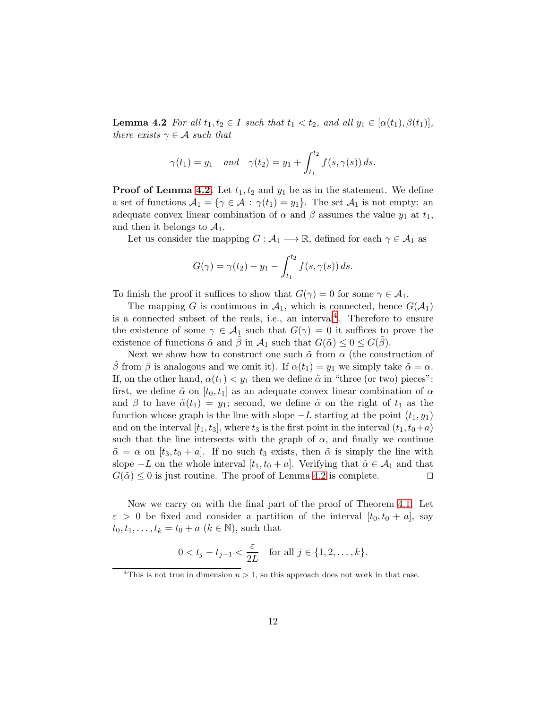**Lemma 4.2** For all  $t_1, t_2 \in I$  such that  $t_1 < t_2$ , and all  $y_1 \in [\alpha(t_1), \beta(t_1)],$ there exists  $\gamma \in \mathcal{A}$  such that

$$
\gamma(t_1) = y_1
$$
 and  $\gamma(t_2) = y_1 + \int_{t_1}^{t_2} f(s, \gamma(s)) ds.$ 

**Proof of Lemma [4.2.](#page-10-0)** Let  $t_1, t_2$  and  $y_1$  be as in the statement. We define a set of functions  $A_1 = \{ \gamma \in \mathcal{A} : \gamma(t_1) = y_1 \}.$  The set  $A_1$  is not empty: an adequate convex linear combination of  $\alpha$  and  $\beta$  assumes the value  $y_1$  at  $t_1$ , and then it belongs to  $A_1$ .

Let us consider the mapping  $G : \mathcal{A}_1 \longrightarrow \mathbb{R}$ , defined for each  $\gamma \in \mathcal{A}_1$  as

$$
G(\gamma) = \gamma(t_2) - y_1 - \int_{t_1}^{t_2} f(s, \gamma(s)) ds.
$$

To finish the proof it suffices to show that  $G(\gamma) = 0$  for some  $\gamma \in \mathcal{A}_1$ .

The mapping G is continuous in  $A_1$ , which is connected, hence  $G(A_1)$ is a connected subset of the reals, i.e., an interval<sup>[4](#page-11-0)</sup>. Therefore to ensure the existence of some  $\gamma \in \mathcal{A}_{\mathfrak{L}}$  such that  $G(\gamma) = 0$  it suffices to prove the existence of functions  $\tilde{\alpha}$  and  $\beta$  in  $\mathcal{A}_1$  such that  $G(\tilde{\alpha}) \leq 0 \leq G(\beta)$ .

Next we show how to construct one such  $\tilde{\alpha}$  from  $\alpha$  (the construction of β from β is analogous and we omit it). If  $\alpha(t_1) = y_1$  we simply take  $\tilde{\alpha} = \alpha$ . If, on the other hand,  $\alpha(t_1) < y_1$  then we define  $\tilde{\alpha}$  in "three (or two) pieces": first, we define  $\tilde{\alpha}$  on  $[t_0, t_1]$  as an adequate convex linear combination of  $\alpha$ and β to have  $\tilde{\alpha}(t_1) = y_1$ ; second, we define  $\tilde{\alpha}$  on the right of  $t_1$  as the function whose graph is the line with slope  $-L$  starting at the point  $(t_1, y_1)$ and on the interval  $[t_1, t_3]$ , where  $t_3$  is the first point in the interval  $(t_1, t_0+a)$ such that the line intersects with the graph of  $\alpha$ , and finally we continue  $\tilde{\alpha} = \alpha$  on  $[t_3, t_0 + a]$ . If no such  $t_3$  exists, then  $\tilde{\alpha}$  is simply the line with slope  $-L$  on the whole interval  $[t_1, t_0 + a]$ . Verifying that  $\tilde{\alpha} \in A_1$  and that  $G(\tilde{\alpha}) \leq 0$  is just routine. The proof of Lemma [4.2](#page-10-0) is complete. □

Now we carry on with the final part of the proof of Theorem [4.1.](#page-10-1) Let  $\varepsilon > 0$  be fixed and consider a partition of the interval  $[t_0, t_0 + a]$ , say  $t_0, t_1, \ldots, t_k = t_0 + a \ (k \in \mathbb{N})$ , such that

$$
0 < t_j - t_{j-1} < \frac{\varepsilon}{2L}
$$
 for all  $j \in \{1, 2, ..., k\}.$ 

<span id="page-11-0"></span><sup>&</sup>lt;sup>4</sup>This is not true in dimension  $n > 1$ , so this approach does not work in that case.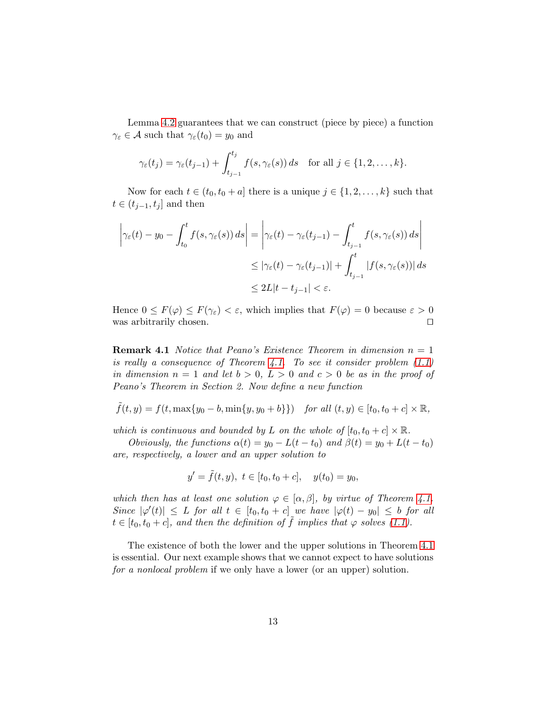Lemma [4.2](#page-10-0) guarantees that we can construct (piece by piece) a function  $\gamma_{\varepsilon} \in \mathcal{A}$  such that  $\gamma_{\varepsilon}(t_0) = y_0$  and

$$
\gamma_{\varepsilon}(t_j)=\gamma_{\varepsilon}(t_{j-1})+\int_{t_{j-1}}^{t_j}f(s,\gamma_{\varepsilon}(s))\,ds\quad\text{for all }j\in\{1,2,\ldots,k\}.
$$

Now for each  $t \in (t_0, t_0 + a]$  there is a unique  $j \in \{1, 2, \ldots, k\}$  such that  $t \in (t_{j-1}, t_j]$  and then

$$
\left| \gamma_{\varepsilon}(t) - y_0 - \int_{t_0}^t f(s, \gamma_{\varepsilon}(s)) ds \right| = \left| \gamma_{\varepsilon}(t) - \gamma_{\varepsilon}(t_{j-1}) - \int_{t_{j-1}}^t f(s, \gamma_{\varepsilon}(s)) ds \right|
$$
  

$$
\leq |\gamma_{\varepsilon}(t) - \gamma_{\varepsilon}(t_{j-1})| + \int_{t_{j-1}}^t |f(s, \gamma_{\varepsilon}(s))| ds
$$
  

$$
\leq 2L|t - t_{j-1}| < \varepsilon.
$$

<span id="page-12-0"></span>Hence  $0 \leq F(\varphi) \leq F(\gamma_{\varepsilon}) < \varepsilon$ , which implies that  $F(\varphi) = 0$  because  $\varepsilon > 0$ was arbitrarily chosen. ⊓⊔

**Remark 4.1** Notice that Peano's Existence Theorem in dimension  $n = 1$ is really a consequence of Theorem [4.1.](#page-10-1) To see it consider problem  $(1.1)$ in dimension  $n = 1$  and let  $b > 0$ ,  $L > 0$  and  $c > 0$  be as in the proof of Peano's Theorem in Section 2. Now define a new function

$$
\tilde{f}(t, y) = f(t, \max\{y_0 - b, \min\{y, y_0 + b\}\})
$$
 for all  $(t, y) \in [t_0, t_0 + c] \times \mathbb{R}$ ,

which is continuous and bounded by L on the whole of  $[t_0, t_0 + c] \times \mathbb{R}$ .

Obviously, the functions  $\alpha(t) = y_0 - L(t - t_0)$  and  $\beta(t) = y_0 + L(t - t_0)$ are, respectively, a lower and an upper solution to

$$
y' = \tilde{f}(t, y), \ t \in [t_0, t_0 + c], \quad y(t_0) = y_0,
$$

which then has at least one solution  $\varphi \in [\alpha, \beta]$ , by virtue of Theorem [4.1.](#page-10-1) Since  $|\varphi'(t)| \leq L$  for all  $t \in [t_0, t_0 + c]$  we have  $|\varphi(t) - y_0| \leq b$  for all  $t \in [t_0, t_0 + c]$ , and then the definition of  $\tilde{f}$  implies that  $\varphi$  solves [\(1.1\)](#page-1-0).

The existence of both the lower and the upper solutions in Theorem [4.1](#page-10-1) is essential. Our next example shows that we cannot expect to have solutions for a nonlocal problem if we only have a lower (or an upper) solution.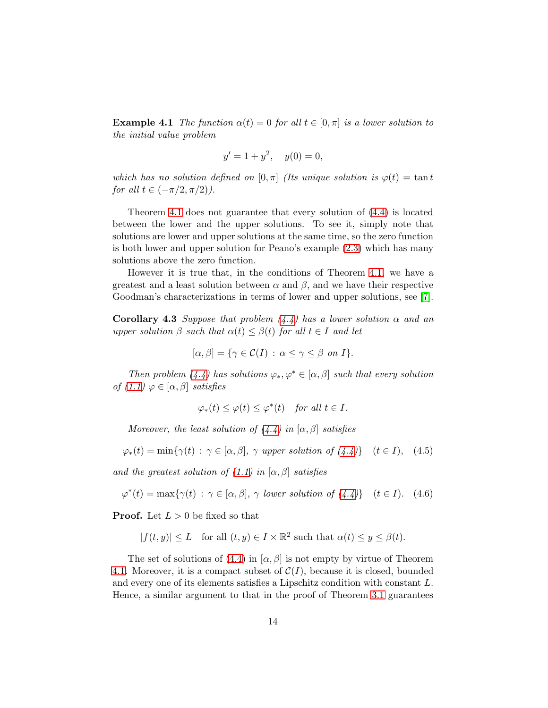**Example 4.1** The function  $\alpha(t) = 0$  for all  $t \in [0, \pi]$  is a lower solution to the initial value problem

$$
y' = 1 + y^2, \quad y(0) = 0,
$$

which has no solution defined on  $[0, \pi]$  (Its unique solution is  $\varphi(t) = \tan t$ for all  $t \in (-\pi/2, \pi/2)$ ).

Theorem [4.1](#page-10-1) does not guarantee that every solution of [\(4.4\)](#page-9-0) is located between the lower and the upper solutions. To see it, simply note that solutions are lower and upper solutions at the same time, so the zero function is both lower and upper solution for Peano's example [\(2.3\)](#page-5-0) which has many solutions above the zero function.

However it is true that, in the conditions of Theorem [4.1,](#page-10-1) we have a greatest and a least solution between  $\alpha$  and  $\beta$ , and we have their respective Goodman's characterizations in terms of lower and upper solutions, see [\[7\]](#page-17-3).

<span id="page-13-2"></span>**Corollary 4.3** Suppose that problem  $(4.4)$  has a lower solution  $\alpha$  and an upper solution  $\beta$  such that  $\alpha(t) \leq \beta(t)$  for all  $t \in I$  and let

$$
[\alpha, \beta] = \{ \gamma \in C(I) : \alpha \le \gamma \le \beta \text{ on } I \}.
$$

Then problem  $(4.4)$  has solutions  $\varphi_*, \varphi^* \in [\alpha, \beta]$  such that every solution of  $(1.1)$   $\varphi \in [\alpha, \beta]$  satisfies

<span id="page-13-1"></span><span id="page-13-0"></span>
$$
\varphi_*(t) \le \varphi(t) \le \varphi^*(t) \quad \text{for all } t \in I.
$$

Moreover, the least solution of  $(4.4)$  in  $[\alpha, \beta]$  satisfies

$$
\varphi_*(t) = \min\{\gamma(t) : \gamma \in [\alpha, \beta], \gamma \text{ upper solution of } (4.4)\} \quad (t \in I), \quad (4.5)
$$

and the greatest solution of  $(1.1)$  in  $[\alpha, \beta]$  satisfies

$$
\varphi^*(t) = \max\{\gamma(t) : \gamma \in [\alpha, \beta], \gamma \text{ lower solution of } (4.4)\} \quad (t \in I). \tag{4.6}
$$

**Proof.** Let  $L > 0$  be fixed so that

$$
|f(t,y)| \leq L
$$
 for all  $(t,y) \in I \times \mathbb{R}^2$  such that  $\alpha(t) \leq y \leq \beta(t)$ .

The set of solutions of [\(4.4\)](#page-9-0) in  $[\alpha, \beta]$  is not empty by virtue of Theorem [4.1.](#page-10-1) Moreover, it is a compact subset of  $C(I)$ , because it is closed, bounded and every one of its elements satisfies a Lipschitz condition with constant L. Hence, a similar argument to that in the proof of Theorem [3.1](#page-6-0) guarantees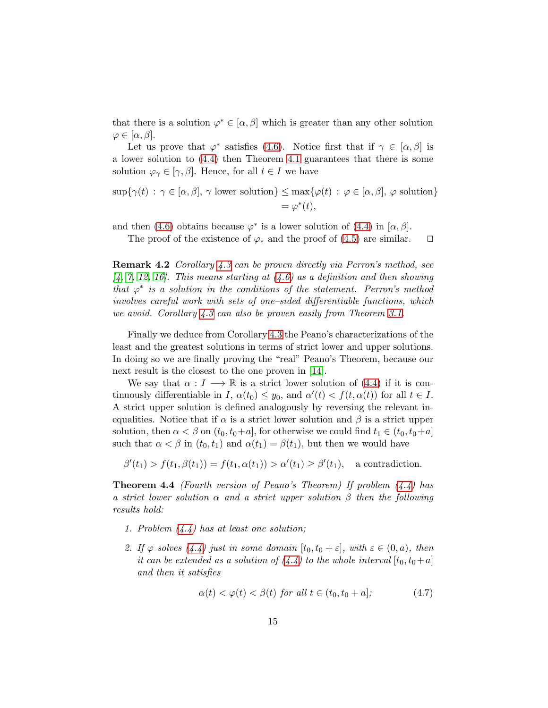that there is a solution  $\varphi^* \in [\alpha, \beta]$  which is greater than any other solution  $\varphi \in [\alpha, \beta].$ 

Let us prove that  $\varphi^*$  satisfies [\(4.6\)](#page-13-0). Notice first that if  $\gamma \in [\alpha, \beta]$  is a lower solution to [\(4.4\)](#page-9-0) then Theorem [4.1](#page-10-1) guarantees that there is some solution  $\varphi_{\gamma} \in [\gamma, \beta]$ . Hence, for all  $t \in I$  we have

$$
\sup \{ \gamma(t) : \gamma \in [\alpha, \beta], \gamma \text{ lower solution} \} \leq \max \{ \varphi(t) : \varphi \in [\alpha, \beta], \varphi \text{ solution} \}
$$

$$
= \varphi^*(t),
$$

and then [\(4.6\)](#page-13-0) obtains because  $\varphi^*$  is a lower solution of [\(4.4\)](#page-9-0) in [ $\alpha$ ,  $\beta$ ].

The proof of the existence of  $\varphi_*$  and the proof of [\(4.5\)](#page-13-1) are similar. □

Remark 4.2 Corollary [4.3](#page-13-2) can be proven directly via Perron's method, see  $(4, 7, 12, 16)$  $(4, 7, 12, 16)$  $(4, 7, 12, 16)$  $(4, 7, 12, 16)$ . This means starting at  $(4.6)$  as a definition and then showing that  $\varphi^*$  is a solution in the conditions of the statement. Perron's method involves careful work with sets of one–sided differentiable functions, which we avoid. Corollary [4.3](#page-13-2) can also be proven easily from Theorem [3.1.](#page-6-0)

Finally we deduce from Corollary [4.3](#page-13-2) the Peano's characterizations of the least and the greatest solutions in terms of strict lower and upper solutions. In doing so we are finally proving the "real" Peano's Theorem, because our next result is the closest to the one proven in [\[14\]](#page-18-0).

We say that  $\alpha : I \longrightarrow \mathbb{R}$  is a strict lower solution of [\(4.4\)](#page-9-0) if it is continuously differentiable in I,  $\alpha(t_0) \leq y_0$ , and  $\alpha'(t) < f(t, \alpha(t))$  for all  $t \in I$ . A strict upper solution is defined analogously by reversing the relevant inequalities. Notice that if  $\alpha$  is a strict lower solution and  $\beta$  is a strict upper solution, then  $\alpha < \beta$  on  $(t_0, t_0+a]$ , for otherwise we could find  $t_1 \in (t_0, t_0+a]$ such that  $\alpha < \beta$  in  $(t_0, t_1)$  and  $\alpha(t_1) = \beta(t_1)$ , but then we would have

 $\beta'(t_1) > f(t_1, \beta(t_1)) = f(t_1, \alpha(t_1)) > \alpha'(t_1) \geq \beta'(t_1),$  a contradiction.

**Theorem 4.4** (Fourth version of Peano's Theorem) If problem  $(4.4)$  has a strict lower solution  $\alpha$  and a strict upper solution  $\beta$  then the following results hold:

- 1. Problem [\(4.4\)](#page-9-0) has at least one solution;
- 2. If  $\varphi$  solves  $(4.4)$  just in some domain  $[t_0, t_0 + \varepsilon]$ , with  $\varepsilon \in (0, a)$ , then it can be extended as a solution of  $(4.4)$  to the whole interval  $[t_0, t_0+a]$ and then it satisfies

<span id="page-14-0"></span>
$$
\alpha(t) < \varphi(t) < \beta(t) \text{ for all } t \in (t_0, t_0 + a]; \tag{4.7}
$$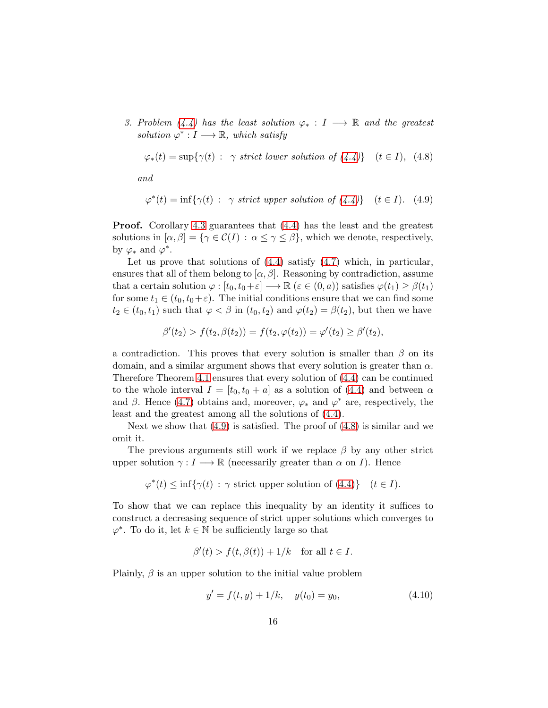3. Problem [\(4.4\)](#page-9-0) has the least solution  $\varphi_* : I \longrightarrow \mathbb{R}$  and the greatest solution  $\varphi^*: I \longrightarrow \mathbb{R}$ , which satisfy

<span id="page-15-1"></span>
$$
\varphi_*(t) = \sup \{ \gamma(t) : \gamma \text{ strict lower solution of } (4.4) \} \quad (t \in I), \tag{4.8}
$$

<span id="page-15-0"></span>and

$$
\varphi^*(t) = \inf \{ \gamma(t) : \gamma \text{ strict upper solution of } (4.4) \} \quad (t \in I). \tag{4.9}
$$

Proof. Corollary [4.3](#page-13-2) guarantees that [\(4.4\)](#page-9-0) has the least and the greatest solutions in  $[\alpha, \beta] = {\gamma \in C(I) : \alpha \leq \gamma \leq \beta}$ , which we denote, respectively, by  $\varphi_*$  and  $\varphi^*$ .

Let us prove that solutions of  $(4.4)$  satisfy  $(4.7)$  which, in particular, ensures that all of them belong to  $[\alpha, \beta]$ . Reasoning by contradiction, assume that a certain solution  $\varphi : [t_0, t_0 + \varepsilon] \longrightarrow \mathbb{R}$  ( $\varepsilon \in (0, a)$ ) satisfies  $\varphi(t_1) \geq \beta(t_1)$ for some  $t_1 \in (t_0, t_0 + \varepsilon)$ . The initial conditions ensure that we can find some  $t_2 \in (t_0, t_1)$  such that  $\varphi < \beta$  in  $(t_0, t_2)$  and  $\varphi(t_2) = \beta(t_2)$ , but then we have

$$
\beta'(t_2) > f(t_2, \beta(t_2)) = f(t_2, \varphi(t_2)) = \varphi'(t_2) \ge \beta'(t_2),
$$

a contradiction. This proves that every solution is smaller than  $\beta$  on its domain, and a similar argument shows that every solution is greater than  $\alpha$ . Therefore Theorem [4.1](#page-10-1) ensures that every solution of [\(4.4\)](#page-9-0) can be continued to the whole interval  $I = [t_0, t_0 + a]$  as a solution of  $(4.4)$  and between  $\alpha$ and  $\beta$ . Hence [\(4.7\)](#page-14-0) obtains and, moreover,  $\varphi_*$  and  $\varphi^*$  are, respectively, the least and the greatest among all the solutions of [\(4.4\)](#page-9-0).

Next we show that  $(4.9)$  is satisfied. The proof of  $(4.8)$  is similar and we omit it.

The previous arguments still work if we replace  $\beta$  by any other strict upper solution  $\gamma : I \longrightarrow \mathbb{R}$  (necessarily greater than  $\alpha$  on I). Hence

$$
\varphi^*(t) \le \inf \{ \gamma(t) \, : \, \gamma \text{ strict upper solution of (4.4)} \} \quad (t \in I).
$$

To show that we can replace this inequality by an identity it suffices to construct a decreasing sequence of strict upper solutions which converges to  $\varphi^*$ . To do it, let  $k \in \mathbb{N}$  be sufficiently large so that

$$
\beta'(t) > f(t, \beta(t)) + 1/k \quad \text{for all } t \in I.
$$

Plainly,  $\beta$  is an upper solution to the initial value problem

<span id="page-15-2"></span>
$$
y' = f(t, y) + 1/k, \quad y(t_0) = y_0,\tag{4.10}
$$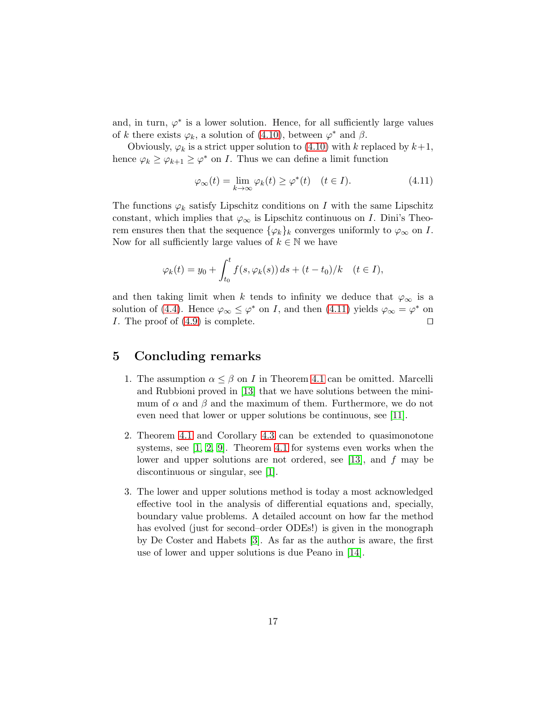and, in turn,  $\varphi^*$  is a lower solution. Hence, for all sufficiently large values of k there exists  $\varphi_k$ , a solution of [\(4.10\)](#page-15-2), between  $\varphi^*$  and  $\beta$ .

Obviously,  $\varphi_k$  is a strict upper solution to [\(4.10\)](#page-15-2) with k replaced by  $k+1$ , hence  $\varphi_k \geq \varphi_{k+1} \geq \varphi^*$  on *I*. Thus we can define a limit function

<span id="page-16-0"></span>
$$
\varphi_{\infty}(t) = \lim_{k \to \infty} \varphi_k(t) \ge \varphi^*(t) \quad (t \in I). \tag{4.11}
$$

The functions  $\varphi_k$  satisfy Lipschitz conditions on I with the same Lipschitz constant, which implies that  $\varphi_{\infty}$  is Lipschitz continuous on I. Dini's Theorem ensures then that the sequence  $\{\varphi_k\}_k$  converges uniformly to  $\varphi_{\infty}$  on I. Now for all sufficiently large values of  $k \in \mathbb{N}$  we have

$$
\varphi_k(t) = y_0 + \int_{t_0}^t f(s, \varphi_k(s)) ds + (t - t_0)/k \quad (t \in I),
$$

and then taking limit when k tends to infinity we deduce that  $\varphi_{\infty}$  is a solution of [\(4.4\)](#page-9-0). Hence  $\varphi_{\infty} \leq \varphi^*$  on *I*, and then [\(4.11\)](#page-16-0) yields  $\varphi_{\infty} = \varphi^*$  on I. The proof of  $(4.9)$  is complete. □

#### 5 Concluding remarks

- 1. The assumption  $\alpha \leq \beta$  on I in Theorem [4.1](#page-10-1) can be omitted. Marcelli and Rubbioni proved in [\[13\]](#page-18-8) that we have solutions between the minimum of  $\alpha$  and  $\beta$  and the maximum of them. Furthermore, we do not even need that lower or upper solutions be continuous, see [\[11\]](#page-17-9).
- 2. Theorem [4.1](#page-10-1) and Corollary [4.3](#page-13-2) can be extended to quasimonotone systems, see [\[1,](#page-17-4) [2,](#page-17-5) [9\]](#page-17-8). Theorem [4.1](#page-10-1) for systems even works when the lower and upper solutions are not ordered, see [\[13\]](#page-18-8), and f may be discontinuous or singular, see [\[1\]](#page-17-4).
- 3. The lower and upper solutions method is today a most acknowledged effective tool in the analysis of differential equations and, specially, boundary value problems. A detailed account on how far the method has evolved (just for second–order ODEs!) is given in the monograph by De Coster and Habets [\[3\]](#page-17-10). As far as the author is aware, the first use of lower and upper solutions is due Peano in [\[14\]](#page-18-0).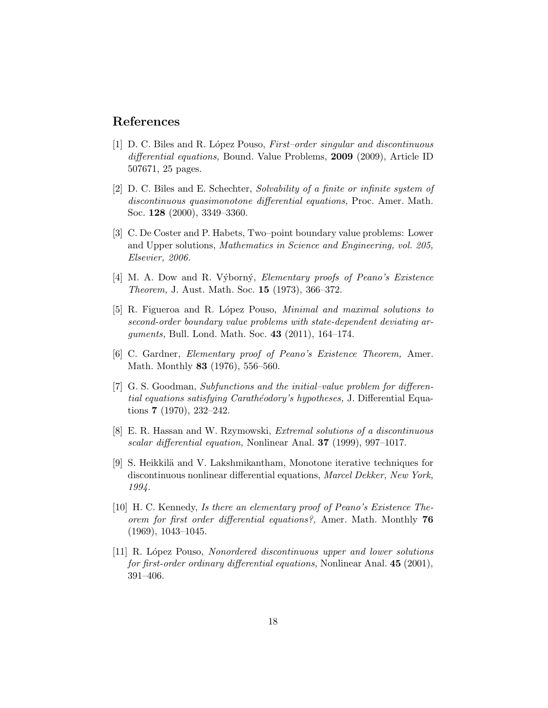#### <span id="page-17-4"></span>References

- [1] D. C. Biles and R. López Pouso, First–order singular and discontinuous differential equations, Bound. Value Problems, 2009 (2009), Article ID 507671, 25 pages.
- <span id="page-17-5"></span>[2] D. C. Biles and E. Schechter, Solvability of a finite or infinite system of discontinuous quasimonotone differential equations, Proc. Amer. Math. Soc. 128 (2000), 3349–3360.
- <span id="page-17-10"></span>[3] C. De Coster and P. Habets, Two–point boundary value problems: Lower and Upper solutions, Mathematics in Science and Engineering, vol. 205, Elsevier, 2006.
- <span id="page-17-1"></span>[4] M. A. Dow and R. Výborný, Elementary proofs of Peano's Existence Theorem, J. Aust. Math. Soc. 15 (1973), 366–372.
- <span id="page-17-7"></span>[5] R. Figueroa and R. López Pouso, Minimal and maximal solutions to second-order boundary value problems with state-dependent deviating arguments, Bull. Lond. Math. Soc. 43 (2011), 164–174.
- <span id="page-17-3"></span><span id="page-17-2"></span>[6] C. Gardner, Elementary proof of Peano's Existence Theorem, Amer. Math. Monthly 83 (1976), 556–560.
- [7] G. S. Goodman, Subfunctions and the initial–value problem for differential equations satisfying Carathéodory's hypotheses, J. Differential Equations 7 (1970), 232–242.
- <span id="page-17-6"></span>[8] E. R. Hassan and W. Rzymowski, Extremal solutions of a discontinuous scalar differential equation, Nonlinear Anal. 37 (1999), 997–1017.
- <span id="page-17-8"></span>[9] S. Heikkilä and V. Lakshmikantham, Monotone iterative techniques for discontinuous nonlinear differential equations, Marcel Dekker, New York, 1994.
- <span id="page-17-0"></span>[10] H. C. Kennedy, Is there an elementary proof of Peano's Existence Theorem for first order differential equations?, Amer. Math. Monthly 76 (1969), 1043–1045.
- <span id="page-17-9"></span>[11] R. L´opez Pouso, Nonordered discontinuous upper and lower solutions for first-order ordinary differential equations, Nonlinear Anal. 45 (2001), 391–406.